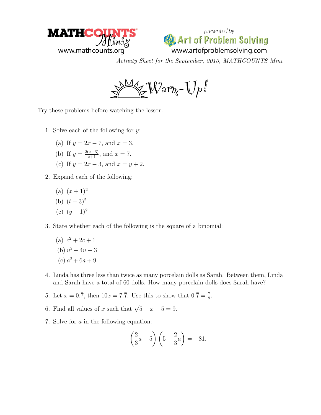



Activity Sheet for the September, 2010, MATHCOUNTS Mini

 $\cong$ War $_{\eta}$ - $\mathbb{U}$ p $^{\mathbb{Z}}$ 

Try these problems before watching the lesson.

- 1. Solve each of the following for  $y$ :
	- (a) If  $y = 2x 7$ , and  $x = 3$ .
	- (b) If  $y = \frac{2(x-3)}{x+1}$ , and  $x = 7$ .
	- (c) If  $y = 2x 3$ , and  $x = y + 2$ .
- 2. Expand each of the following:
	- (a)  $(x+1)^2$
	- (b)  $(t+3)^2$
	- (c)  $(y-1)^2$
- 3. State whether each of the following is the square of a binomial:
	- (a)  $c^2 + 2c + 1$ (b)  $u^2 - 4u + 3$ (c)  $a^2 + 6a + 9$
- 4. Linda has three less than twice as many porcelain dolls as Sarah. Between them, Linda and Sarah have a total of 60 dolls. How many porcelain dolls does Sarah have?
- 5. Let  $x = 0.\overline{7}$ , then  $10x = 7.\overline{7}$ . Use this to show that  $0.\overline{7} = \frac{7}{9}$ .
- 6. Find all values of x such that  $\sqrt{5-x} 5 = 9$ .
- 7. Solve for a in the following equation:

$$
\left(\frac{2}{3}a-5\right)\left(5-\frac{2}{3}a\right)=-81.
$$